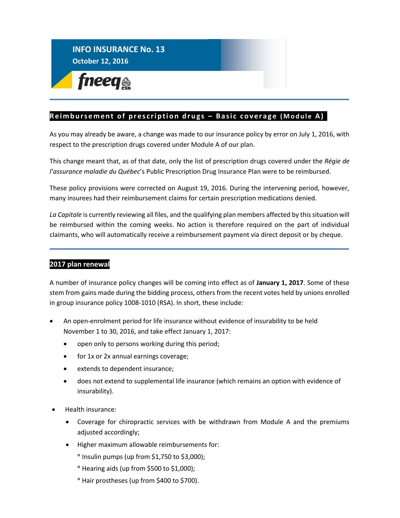## **INFO INSURANCE No. 13 October 12, 2016**

fneeq<sub>®</sub>

## Reimbursement of prescription drugs - Basic coverage (Module A)

As you may already be aware, a change was made to our insurance policy by error on July 1, 2016, with respect to the prescription drugs covered under Module A of our plan.

This change meant that, as of that date, only the list of prescription drugs covered under the *Régie de l'assurance maladie du Québec*'s Public Prescription Drug Insurance Plan were to be reimbursed.

These policy provisions were corrected on August 19, 2016. During the intervening period, however, many insurees had their reimbursement claims for certain prescription medications denied.

*La Capitale* is currently reviewing all files, and the qualifying plan members affected by this situation will be reimbursed within the coming weeks. No action is therefore required on the part of individual claimants, who will automatically receive a reimbursement payment via direct deposit or by cheque.

## **2017 plan renewal**

A number of insurance policy changes will be coming into effect as of **January 1, 2017**. Some of these stem from gains made during the bidding process, others from the recent votes held by unions enrolled in group insurance policy 1008-1010 (RSA). In short, these include:

- An open-enrolment period for life insurance without evidence of insurability to be held November 1 to 30, 2016, and take effect January 1, 2017:
	- open only to persons working during this period;
	- for 1x or 2x annual earnings coverage;
	- extends to dependent insurance;
	- does not extend to supplemental life insurance (which remains an option with evidence of insurability).
- Health insurance:
	- Coverage for chiropractic services with be withdrawn from Module A and the premiums adjusted accordingly;
	- Higher maximum allowable reimbursements for:
		- **°** Insulin pumps (up from \$1,750 to \$3,000);
		- **°** Hearing aids (up from \$500 to \$1,000);
		- **°** Hair prostheses (up from \$400 to \$700).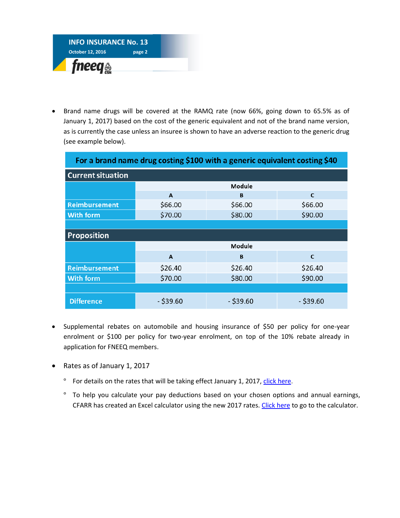

 Brand name drugs will be covered at the RAMQ rate (now 66%, going down to 65.5% as of January 1, 2017) based on the cost of the generic equivalent and not of the brand name version, as is currently the case unless an insuree is shown to have an adverse reaction to the generic drug (see example below).

| For a brand name drug costing \$100 with a generic equivalent costing \$40 |               |             |             |  |  |  |  |  |  |  |  |
|----------------------------------------------------------------------------|---------------|-------------|-------------|--|--|--|--|--|--|--|--|
| <b>Current situation</b>                                                   |               |             |             |  |  |  |  |  |  |  |  |
|                                                                            | <b>Module</b> |             |             |  |  |  |  |  |  |  |  |
|                                                                            | A             | B           | C           |  |  |  |  |  |  |  |  |
| Reimbursement                                                              | \$66.00       | \$66.00     | \$66.00     |  |  |  |  |  |  |  |  |
| <b>With form</b>                                                           | \$70.00       | \$80.00     | \$90.00     |  |  |  |  |  |  |  |  |
|                                                                            |               |             |             |  |  |  |  |  |  |  |  |
| <b>Proposition</b>                                                         |               |             |             |  |  |  |  |  |  |  |  |
|                                                                            | <b>Module</b> |             |             |  |  |  |  |  |  |  |  |
|                                                                            | A             | B           | C           |  |  |  |  |  |  |  |  |
| <b>Reimbursement</b>                                                       | \$26.40       | \$26.40     | \$26.40     |  |  |  |  |  |  |  |  |
| <b>With form</b>                                                           | \$70.00       | \$80.00     | \$90.00     |  |  |  |  |  |  |  |  |
|                                                                            |               |             |             |  |  |  |  |  |  |  |  |
| <b>Difference</b>                                                          | $-$ \$39.60   | $-$ \$39.60 | $-$ \$39.60 |  |  |  |  |  |  |  |  |

- Supplemental rebates on automobile and housing insurance of \$50 per policy for one-year enrolment or \$100 per policy for two-year enrolment, on top of the 10% rebate already in application for FNEEQ members.
- Rates as of January 1, 2017
	- <sup>o</sup> For details on the rates that will be taking effect January 1, 2017, [click here.](http://fneeq.qc.ca/wp-content/uploads/Leaflet-1008-rates-2017.pdf)
	- **°** To help you calculate your pay deductions based on your chosen options and annual earnings, CFARR has created an Excel calculator using the new 2017 rates[. Click here](http://fneeq.qc.ca/wp-content/uploads/Calculator-verouille-2017.xlsx) to go to the calculator.